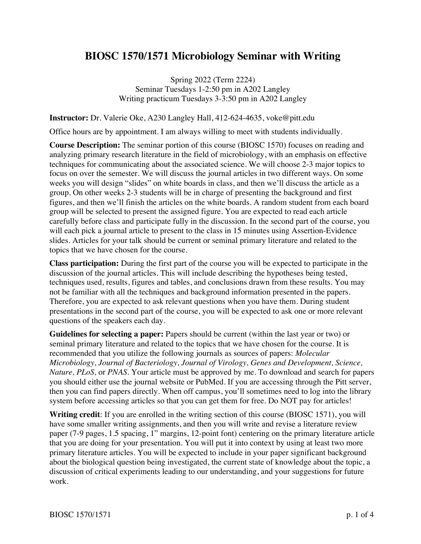## **BIOSC 1570/1571 Microbiology Seminar with Writing**

Spring 2022 (Term 2224) Seminar Tuesdays 1-2:50 pm in A202 Langley Writing practicum Tuesdays 3-3:50 pm in A202 Langley

**Instructor:** Dr. Valerie Oke, A230 Langley Hall, 412-624-4635, voke@pitt.edu

Office hours are by appointment. I am always willing to meet with students individually.

**Course Description:** The seminar portion of this course (BIOSC 1570) focuses on reading and analyzing primary research literature in the field of microbiology, with an emphasis on effective techniques for communicating about the associated science. We will choose 2-3 major topics to focus on over the semester. We will discuss the journal articles in two different ways. On some weeks you will design "slides" on white boards in class, and then we'll discuss the article as a group. On other weeks 2-3 students will be in charge of presenting the background and first figures, and then we'll finish the articles on the white boards. A random student from each board group will be selected to present the assigned figure. You are expected to read each article carefully before class and participate fully in the discussion. In the second part of the course, you will each pick a journal article to present to the class in 15 minutes using Assertion-Evidence slides. Articles for your talk should be current or seminal primary literature and related to the topics that we have chosen for the course.

**Class participation:** During the first part of the course you will be expected to participate in the discussion of the journal articles. This will include describing the hypotheses being tested, techniques used, results, figures and tables, and conclusions drawn from these results. You may not be familiar with all the techniques and background information presented in the papers. Therefore, you are expected to ask relevant questions when you have them. During student presentations in the second part of the course, you will be expected to ask one or more relevant questions of the speakers each day.

**Guidelines for selecting a paper:** Papers should be current (within the last year or two) or seminal primary literature and related to the topics that we have chosen for the course. It is recommended that you utilize the following journals as sources of papers: *Molecular Microbiology, Journal of Bacteriology, Journal of Virology, Genes and Development, Science, Nature, PLoS,* or *PNAS*. Your article must be approved by me. To download and search for papers you should either use the journal website or PubMed. If you are accessing through the Pitt server, then you can find papers directly. When off campus, you'll sometimes need to log into the library system before accessing articles so that you can get them for free. Do NOT pay for articles!

**Writing credit**: If you are enrolled in the writing section of this course (BIOSC 1571), you will have some smaller writing assignments, and then you will write and revise a literature review paper (7-9 pages, 1.5 spacing, 1" margins, 12-point font) centering on the primary literature article that you are doing for your presentation. You will put it into context by using at least two more primary literature articles. You will be expected to include in your paper significant background about the biological question being investigated, the current state of knowledge about the topic, a discussion of critical experiments leading to our understanding, and your suggestions for future work.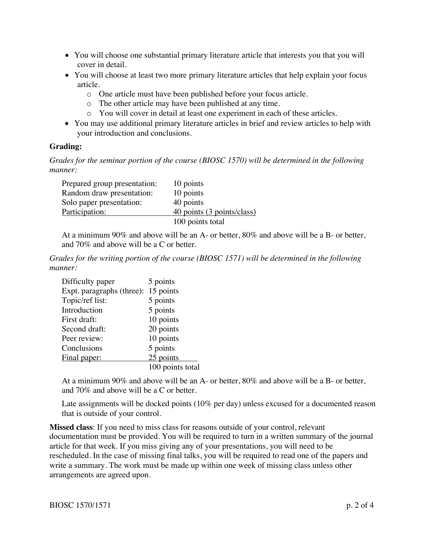- You will choose one substantial primary literature article that interests you that you will cover in detail.
- You will choose at least two more primary literature articles that help explain your focus article.
	- o One article must have been published before your focus article.
	- o The other article may have been published at any time.
	- o You will cover in detail at least one experiment in each of these articles.
- You may use additional primary literature articles in brief and review articles to help with your introduction and conclusions.

## **Grading:**

*Grades for the seminar portion of the course (BIOSC 1570) will be determined in the following manner:*

| Prepared group presentation: | 10 points                  |
|------------------------------|----------------------------|
| Random draw presentation:    | 10 points                  |
| Solo paper presentation:     | 40 points                  |
| Participation:               | 40 points (3 points/class) |
|                              | 100 points total           |

At a minimum 90% and above will be an A- or better, 80% and above will be a B- or better, and 70% and above will be a C or better.

*Grades for the writing portion of the course (BIOSC 1571) will be determined in the following manner:*

| Difficulty paper          | 5 points         |
|---------------------------|------------------|
| Expt. paragraphs (three): | 15 points        |
| Topic/ref list:           | 5 points         |
| Introduction              | 5 points         |
| First draft:              | 10 points        |
| Second draft:             | 20 points        |
| Peer review:              | 10 points        |
| Conclusions               | 5 points         |
| Final paper:              | 25 points        |
|                           | 100 points total |

At a minimum 90% and above will be an A- or better, 80% and above will be a B- or better, and 70% and above will be a C or better.

Late assignments will be docked points (10% per day) unless excused for a documented reason that is outside of your control.

**Missed class**: If you need to miss class for reasons outside of your control, relevant documentation must be provided. You will be required to turn in a written summary of the journal article for that week. If you miss giving any of your presentations, you will need to be rescheduled. In the case of missing final talks, you will be required to read one of the papers and write a summary. The work must be made up within one week of missing class unless other arrangements are agreed upon.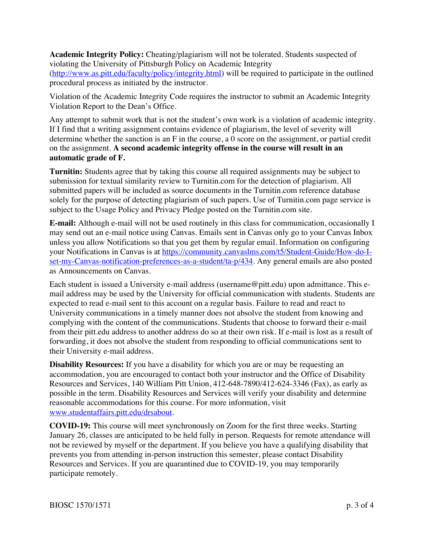**Academic Integrity Policy:** Cheating/plagiarism will not be tolerated. Students suspected of violating the University of Pittsburgh Policy on Academic Integrity (http://www.as.pitt.edu/faculty/policy/integrity.html) will be required to participate in the outlined procedural process as initiated by the instructor.

Violation of the Academic Integrity Code requires the instructor to submit an Academic Integrity Violation Report to the Dean's Office.

Any attempt to submit work that is not the student's own work is a violation of academic integrity. If I find that a writing assignment contains evidence of plagiarism, the level of severity will determine whether the sanction is an F in the course, a 0 score on the assignment, or partial credit on the assignment. **A second academic integrity offense in the course will result in an automatic grade of F.**

**Turnitin:** Students agree that by taking this course all required assignments may be subject to submission for textual similarity review to Turnitin.com for the detection of plagiarism. All submitted papers will be included as source documents in the Turnitin.com reference database solely for the purpose of detecting plagiarism of such papers. Use of Turnitin.com page service is subject to the Usage Policy and Privacy Pledge posted on the Turnitin.com site.

**E-mail:** Although e-mail will not be used routinely in this class for communication, occasionally I may send out an e-mail notice using Canvas. Emails sent in Canvas only go to your Canvas Inbox unless you allow Notifications so that you get them by regular email. Information on configuring your Notifications in Canvas is at https://community.canvaslms.com/t5/Student-Guide/How-do-Iset-my-Canvas-notification-preferences-as-a-student/ta-p/434. Any general emails are also posted as Announcements on Canvas.

Each student is issued a University e-mail address (username@pitt.edu) upon admittance. This email address may be used by the University for official communication with students. Students are expected to read e-mail sent to this account on a regular basis. Failure to read and react to University communications in a timely manner does not absolve the student from knowing and complying with the content of the communications. Students that choose to forward their e-mail from their pitt.edu address to another address do so at their own risk. If e-mail is lost as a result of forwarding, it does not absolve the student from responding to official communications sent to their University e-mail address.

**Disability Resources:** If you have a disability for which you are or may be requesting an accommodation, you are encouraged to contact both your instructor and the Office of Disability Resources and Services, 140 William Pitt Union, 412-648-7890/412-624-3346 (Fax), as early as possible in the term. Disability Resources and Services will verify your disability and determine reasonable accommodations for this course. For more information, visit www.studentaffairs.pitt.edu/drsabout.

**COVID-19:** This course will meet synchronously on Zoom for the first three weeks. Starting January 26, classes are anticipated to be held fully in person. Requests for remote attendance will not be reviewed by myself or the department. If you believe you have a qualifying disability that prevents you from attending in-person instruction this semester, please contact Disability Resources and Services. If you are quarantined due to COVID-19, you may temporarily participate remotely.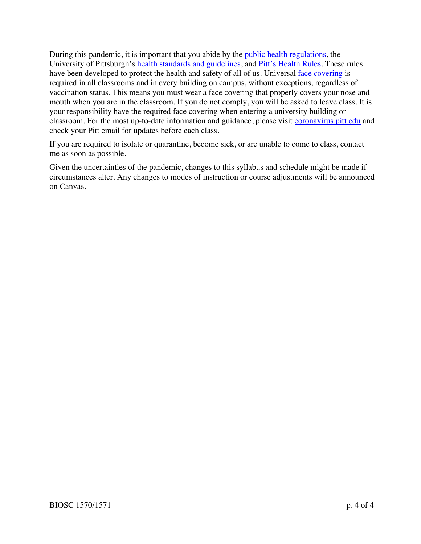During this pandemic, it is important that you abide by the *public health regulations*, the University of Pittsburgh's health standards and guidelines, and Pitt's Health Rules. These rules have been developed to protect the health and safety of all of us. Universal face covering is required in all classrooms and in every building on campus, without exceptions, regardless of vaccination status. This means you must wear a face covering that properly covers your nose and mouth when you are in the classroom. If you do not comply, you will be asked to leave class. It is your responsibility have the required face covering when entering a university building or classroom. For the most up-to-date information and guidance, please visit coronavirus. pitt.edu and check your Pitt email for updates before each class.

If you are required to isolate or quarantine, become sick, or are unable to come to class, contact me as soon as possible.

Given the uncertainties of the pandemic, changes to this syllabus and schedule might be made if circumstances alter. Any changes to modes of instruction or course adjustments will be announced on Canvas.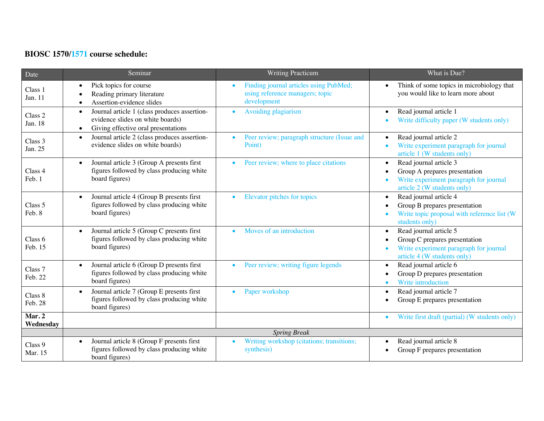## **BIOSC 1570/1571 course schedule:**

| Date                | Seminar                                                                                                                                           | <b>Writing Practicum</b>                                                                 | What is Due?                                                                                                                                                    |  |
|---------------------|---------------------------------------------------------------------------------------------------------------------------------------------------|------------------------------------------------------------------------------------------|-----------------------------------------------------------------------------------------------------------------------------------------------------------------|--|
| Class 1<br>Jan. 11  | Pick topics for course<br>$\bullet$<br>Reading primary literature<br>$\bullet$<br>Assertion-evidence slides<br>$\bullet$                          | Finding journal articles using PubMed;<br>using reference managers; topic<br>development | Think of some topics in microbiology that<br>$\bullet$<br>you would like to learn more about                                                                    |  |
| Class 2<br>Jan. 18  | Journal article 1 (class produces assertion-<br>$\bullet$<br>evidence slides on white boards)<br>Giving effective oral presentations<br>$\bullet$ | Avoiding plagiarism                                                                      | Read journal article 1<br>$\bullet$<br>Write difficulty paper (W students only)                                                                                 |  |
| Class 3<br>Jan. 25  | Journal article 2 (class produces assertion-<br>$\bullet$<br>evidence slides on white boards)                                                     | Peer review; paragraph structure (Issue and<br>$\bullet$<br>Point)                       | Read journal article 2<br>$\bullet$<br>Write experiment paragraph for journal<br>$\bullet$<br>article 1 (W students only)                                       |  |
| Class 4<br>Feb. 1   | Journal article 3 (Group A presents first<br>$\bullet$<br>figures followed by class producing white<br>board figures)                             | Peer review; where to place citations                                                    | Read journal article 3<br>$\bullet$<br>Group A prepares presentation<br>$\bullet$<br>Write experiment paragraph for journal<br>article 2 (W students only)      |  |
| Class 5<br>Feb. 8   | Journal article 4 (Group B presents first<br>$\bullet$<br>figures followed by class producing white<br>board figures)                             | Elevator pitches for topics<br>$\bullet$                                                 | Read journal article 4<br>$\bullet$<br>Group B prepares presentation<br>$\bullet$<br>Write topic proposal with reference list (W<br>$\bullet$<br>students only) |  |
| Class 6<br>Feb. 15  | Journal article 5 (Group C presents first<br>$\bullet$<br>figures followed by class producing white<br>board figures)                             | Moves of an introduction                                                                 | Read journal article 5<br>$\bullet$<br>Group C prepares presentation<br>$\bullet$<br>Write experiment paragraph for journal<br>article 4 (W students only)      |  |
| Class 7<br>Feb. 22  | Journal article 6 (Group D presents first<br>$\bullet$<br>figures followed by class producing white<br>board figures)                             | Peer review; writing figure legends                                                      | Read journal article 6<br>$\bullet$<br>Group D prepares presentation<br>Write introduction<br>$\bullet$                                                         |  |
| Class 8<br>Feb. 28  | Journal article 7 (Group E presents first<br>$\bullet$<br>figures followed by class producing white<br>board figures)                             | Paper workshop<br>$\bullet$                                                              | Read journal article 7<br>$\bullet$<br>Group E prepares presentation                                                                                            |  |
| Mar. 2<br>Wednesday |                                                                                                                                                   |                                                                                          | Write first draft (partial) (W students only)<br>$\bullet$                                                                                                      |  |
| <b>Spring Break</b> |                                                                                                                                                   |                                                                                          |                                                                                                                                                                 |  |
| Class 9<br>Mar. 15  | Journal article 8 (Group F presents first<br>$\bullet$<br>figures followed by class producing white<br>board figures)                             | Writing workshop (citations; transitions;<br>synthesis)                                  | Read journal article 8<br>$\bullet$<br>Group F prepares presentation                                                                                            |  |